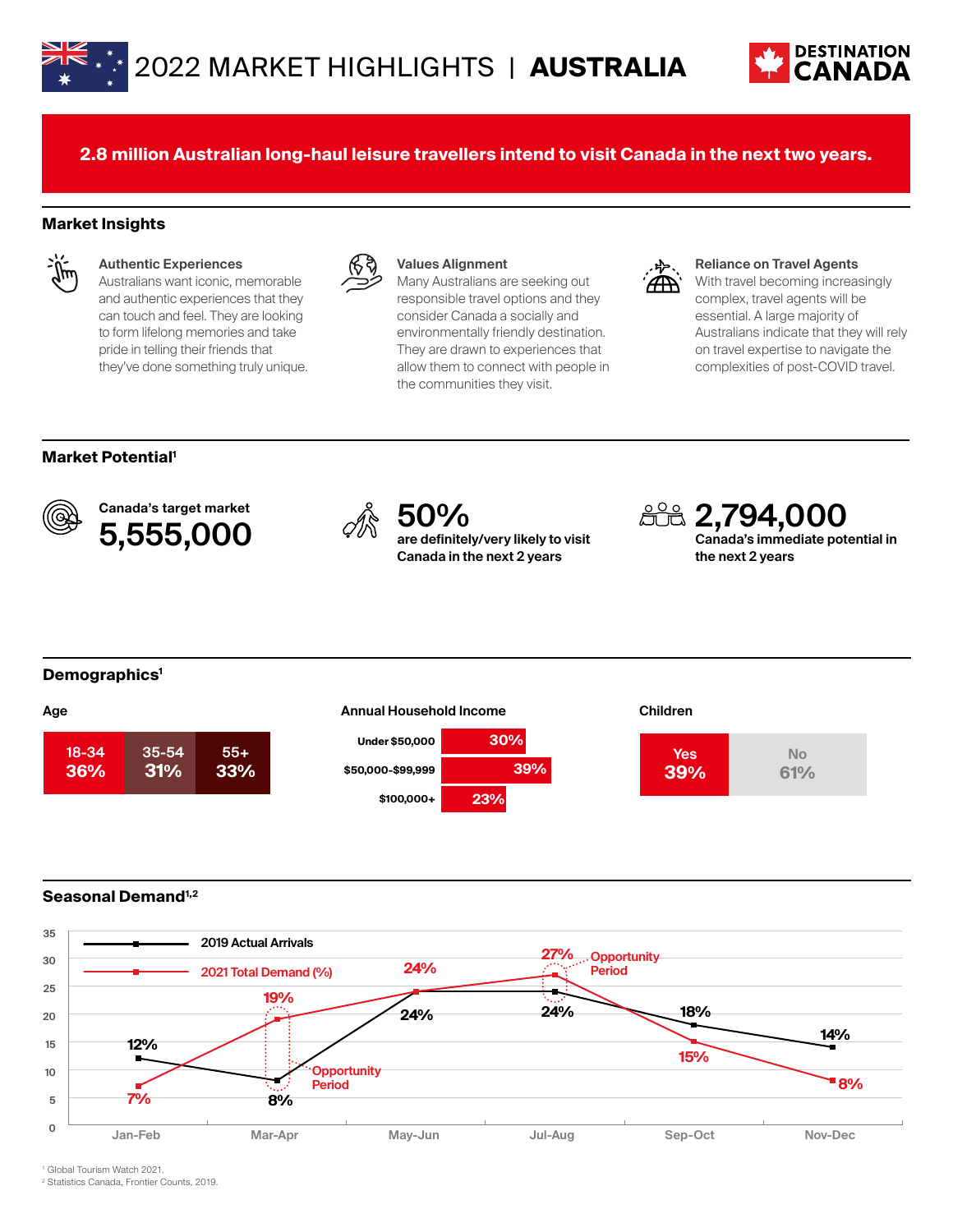



**2.8 million Australian long-haul leisure travellers intend to visit Canada in the next two years.**

## **Market Insights**



#### **Authentic Experiences**

Australians want iconic, memorable and authentic experiences that they can touch and feel. They are looking to form lifelong memories and take pride in telling their friends that they've done something truly unique.



#### **Values Alignment**

Many Australians are seeking out responsible travel options and they consider Canada a socially and environmentally friendly destination. They are drawn to experiences that allow them to connect with people in the communities they visit.



#### **Reliance on Travel Agents**

With travel becoming increasingly complex, travel agents will be essential. A large majority of Australians indicate that they will rely on travel expertise to navigate the complexities of post-COVID travel.

#### **Market Potential1**



Canada's target market Canada's target market<br>5,555,000 <sup>%</sup> are definitel



**are definitely/very likely to visit Canada in the next 2 years**



#### **Demographics1**



#### **Under \$50,000 \$50,000-\$99,999 \$100,000+ 30% 39% 23%**



### **Seasonal Demand1,2**



1 Global Tourism Watch 2021.

2 Statistics Canada, Frontier Counts, 2019.